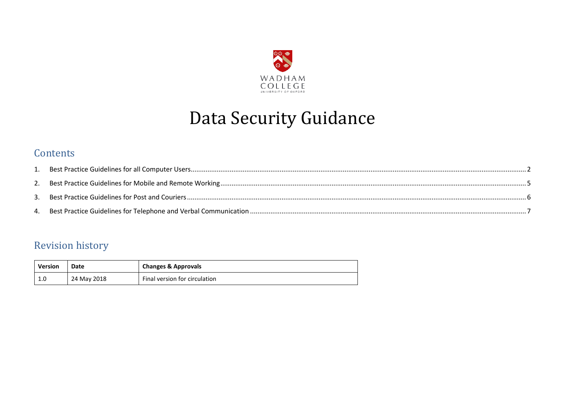

# Data Security Guidance

#### **Contents**

| 3. |  |
|----|--|
|    |  |

### Revision history

| Version    | Date        | <b>Changes &amp; Approvals</b> |
|------------|-------------|--------------------------------|
| <b>1.U</b> | 24 May 2018 | Final version for circulation  |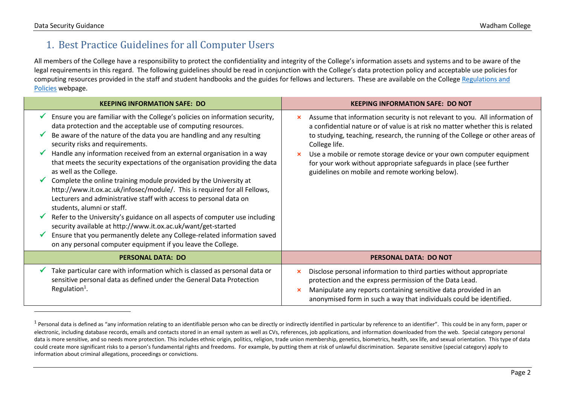$\overline{a}$ 

#### <span id="page-1-0"></span>1. Best Practice Guidelines for all Computer Users

All members of the College have a responsibility to protect the confidentiality and integrity of the College's information assets and systems and to be aware of the legal requirements in this regard. The following guidelines should be read in conjunction with the College's data protection policy and acceptable use policies for computing resources provided in the staff and student handbooks and the guides for fellows and lecturers. These are available on the College Regulations and [Policies](https://www.wadham.ox.ac.uk/governance/regulations-and-policy-documents) webpage.

| <b>KEEPING INFORMATION SAFE: DO</b>                                                                                                                                                                                                                | <b>KEEPING INFORMATION SAFE: DO NOT</b>                                                                                                                                                                                                                                                              |
|----------------------------------------------------------------------------------------------------------------------------------------------------------------------------------------------------------------------------------------------------|------------------------------------------------------------------------------------------------------------------------------------------------------------------------------------------------------------------------------------------------------------------------------------------------------|
| Ensure you are familiar with the College's policies on information security,<br>data protection and the acceptable use of computing resources.                                                                                                     | Assume that information security is not relevant to you. All information of<br>×<br>a confidential nature or of value is at risk no matter whether this is related                                                                                                                                   |
| Be aware of the nature of the data you are handling and any resulting<br>security risks and requirements.                                                                                                                                          | to studying, teaching, research, the running of the College or other areas of<br>College life.                                                                                                                                                                                                       |
| Handle any information received from an external organisation in a way<br>that meets the security expectations of the organisation providing the data<br>as well as the College.                                                                   | Use a mobile or remote storage device or your own computer equipment<br>for your work without appropriate safeguards in place (see further<br>guidelines on mobile and remote working below).                                                                                                        |
| Complete the online training module provided by the University at<br>http://www.it.ox.ac.uk/infosec/module/. This is required for all Fellows,<br>Lecturers and administrative staff with access to personal data on<br>students, alumni or staff. |                                                                                                                                                                                                                                                                                                      |
| Refer to the University's guidance on all aspects of computer use including<br>security available at http://www.it.ox.ac.uk/want/get-started                                                                                                       |                                                                                                                                                                                                                                                                                                      |
| Ensure that you permanently delete any College-related information saved<br>on any personal computer equipment if you leave the College.                                                                                                           |                                                                                                                                                                                                                                                                                                      |
| <b>PERSONAL DATA: DO</b>                                                                                                                                                                                                                           | <b>PERSONAL DATA: DO NOT</b>                                                                                                                                                                                                                                                                         |
| Take particular care with information which is classed as personal data or<br>sensitive personal data as defined under the General Data Protection<br>Regulation <sup>1</sup> .                                                                    | Disclose personal information to third parties without appropriate<br>$\boldsymbol{\mathsf{x}}$<br>protection and the express permission of the Data Lead.<br>Manipulate any reports containing sensitive data provided in an<br>anonymised form in such a way that individuals could be identified. |

<sup>&</sup>lt;sup>1</sup> Personal data is defined as "any information relating to an identifiable person who can be directly or indirectly identified in particular by reference to an identifier". This could be in any form, paper or electronic, including database records, emails and contacts stored in an email system as well as CVs, references, job applications, and information downloaded from the web. Special category personal data is more sensitive, and so needs more protection. This includes ethnic origin, politics, religion, trade union membership, genetics, biometrics, health, sex life, and sexual orientation. This type of data could create more significant risks to a person's fundamental rights and freedoms. For example, by putting them at risk of unlawful discrimination. Separate sensitive (special category) apply to information about criminal allegations, proceedings or convictions.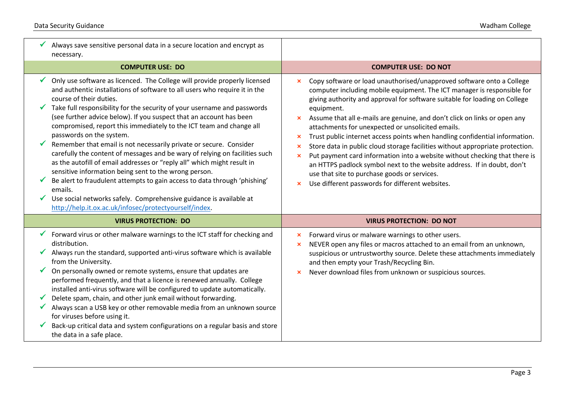| Always save sensitive personal data in a secure location and encrypt as<br>necessary.                                                                                                                                                                                                                                                                                                                                                                                                                                                                                                                                                                                                                                                                                                                                                                                                                                                                     |                                                                                                                                                                                                                                                                                                                                                                                                                                                                                                                                                                                                                                                                                                                                                                                                                                                                                                                    |
|-----------------------------------------------------------------------------------------------------------------------------------------------------------------------------------------------------------------------------------------------------------------------------------------------------------------------------------------------------------------------------------------------------------------------------------------------------------------------------------------------------------------------------------------------------------------------------------------------------------------------------------------------------------------------------------------------------------------------------------------------------------------------------------------------------------------------------------------------------------------------------------------------------------------------------------------------------------|--------------------------------------------------------------------------------------------------------------------------------------------------------------------------------------------------------------------------------------------------------------------------------------------------------------------------------------------------------------------------------------------------------------------------------------------------------------------------------------------------------------------------------------------------------------------------------------------------------------------------------------------------------------------------------------------------------------------------------------------------------------------------------------------------------------------------------------------------------------------------------------------------------------------|
| <b>COMPUTER USE: DO</b>                                                                                                                                                                                                                                                                                                                                                                                                                                                                                                                                                                                                                                                                                                                                                                                                                                                                                                                                   | <b>COMPUTER USE: DO NOT</b>                                                                                                                                                                                                                                                                                                                                                                                                                                                                                                                                                                                                                                                                                                                                                                                                                                                                                        |
| Only use software as licenced. The College will provide properly licensed<br>and authentic installations of software to all users who require it in the<br>course of their duties.<br>Take full responsibility for the security of your username and passwords<br>(see further advice below). If you suspect that an account has been<br>compromised, report this immediately to the ICT team and change all<br>passwords on the system.<br>Remember that email is not necessarily private or secure. Consider<br>carefully the content of messages and be wary of relying on facilities such<br>as the autofill of email addresses or "reply all" which might result in<br>sensitive information being sent to the wrong person.<br>Be alert to fraudulent attempts to gain access to data through 'phishing'<br>emails.<br>Use social networks safely. Comprehensive guidance is available at<br>http://help.it.ox.ac.uk/infosec/protectyourself/index. | Copy software or load unauthorised/unapproved software onto a College<br>$\mathbf x$<br>computer including mobile equipment. The ICT manager is responsible for<br>giving authority and approval for software suitable for loading on College<br>equipment.<br>Assume that all e-mails are genuine, and don't click on links or open any<br>$\mathsf{x}$<br>attachments for unexpected or unsolicited emails.<br>Trust public internet access points when handling confidential information.<br>$\boldsymbol{\mathsf{x}}$<br>Store data in public cloud storage facilities without appropriate protection.<br>$\boldsymbol{\mathsf{x}}$<br>Put payment card information into a website without checking that there is<br>$\mathbf x$<br>an HTTPS padlock symbol next to the website address. If in doubt, don't<br>use that site to purchase goods or services.<br>Use different passwords for different websites. |
| <b>VIRUS PROTECTION: DO</b>                                                                                                                                                                                                                                                                                                                                                                                                                                                                                                                                                                                                                                                                                                                                                                                                                                                                                                                               | <b>VIRUS PROTECTION: DO NOT</b>                                                                                                                                                                                                                                                                                                                                                                                                                                                                                                                                                                                                                                                                                                                                                                                                                                                                                    |
| Forward virus or other malware warnings to the ICT staff for checking and<br>distribution.<br>Always run the standard, supported anti-virus software which is available<br>from the University.<br>On personally owned or remote systems, ensure that updates are<br>performed frequently, and that a licence is renewed annually. College<br>installed anti-virus software will be configured to update automatically.<br>Delete spam, chain, and other junk email without forwarding.<br>Always scan a USB key or other removable media from an unknown source<br>for viruses before using it.<br>Back-up critical data and system configurations on a regular basis and store<br>the data in a safe place.                                                                                                                                                                                                                                             | Forward virus or malware warnings to other users.<br>×<br>NEVER open any files or macros attached to an email from an unknown,<br>$\boldsymbol{\mathsf{x}}$<br>suspicious or untrustworthy source. Delete these attachments immediately<br>and then empty your Trash/Recycling Bin.<br>Never download files from unknown or suspicious sources.                                                                                                                                                                                                                                                                                                                                                                                                                                                                                                                                                                    |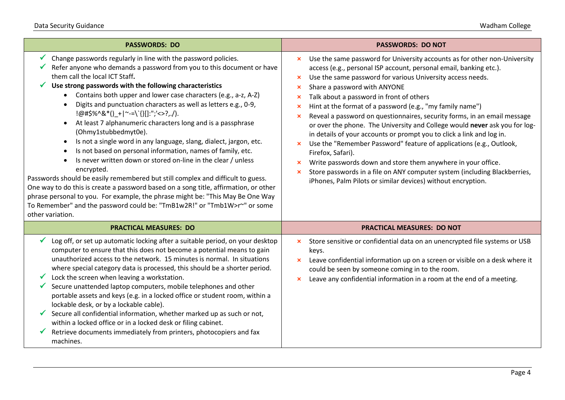Г L

| <b>PASSWORDS: DO</b>                                                                                                                                                                                                                                                                                                                                                                                                                                                                                                                                                                                                                                                                                                                                                                                                                                                                                                                                                                                                                                                                                                                                                      | <b>PASSWORDS: DO NOT</b>                                                                                                                                                                                                                                                                                                                                                                                                                                                                                                                                                                                                                                                                                                                                                                                                                                                                                                                                                                                                                   |
|---------------------------------------------------------------------------------------------------------------------------------------------------------------------------------------------------------------------------------------------------------------------------------------------------------------------------------------------------------------------------------------------------------------------------------------------------------------------------------------------------------------------------------------------------------------------------------------------------------------------------------------------------------------------------------------------------------------------------------------------------------------------------------------------------------------------------------------------------------------------------------------------------------------------------------------------------------------------------------------------------------------------------------------------------------------------------------------------------------------------------------------------------------------------------|--------------------------------------------------------------------------------------------------------------------------------------------------------------------------------------------------------------------------------------------------------------------------------------------------------------------------------------------------------------------------------------------------------------------------------------------------------------------------------------------------------------------------------------------------------------------------------------------------------------------------------------------------------------------------------------------------------------------------------------------------------------------------------------------------------------------------------------------------------------------------------------------------------------------------------------------------------------------------------------------------------------------------------------------|
| Change passwords regularly in line with the password policies.<br>Refer anyone who demands a password from you to this document or have<br>them call the local ICT Staff.<br>Use strong passwords with the following characteristics<br>Contains both upper and lower case characters (e.g., a-z, A-Z)<br>$\bullet$<br>Digits and punctuation characters as well as letters e.g., 0-9,<br>$\bullet$<br>$ @#$ \$%^&*()_+ ~-=\`{}[]:";'<>?,./).<br>At least 7 alphanumeric characters long and is a passphrase<br>$\bullet$<br>(Ohmy1stubbedmyt0e).<br>Is not a single word in any language, slang, dialect, jargon, etc.<br>$\bullet$<br>Is not based on personal information, names of family, etc.<br>$\bullet$<br>Is never written down or stored on-line in the clear / unless<br>$\bullet$<br>encrypted.<br>Passwords should be easily remembered but still complex and difficult to guess.<br>One way to do this is create a password based on a song title, affirmation, or other<br>phrase personal to you. For example, the phrase might be: "This May Be One Way<br>To Remember" and the password could be: "TmB1w2R!" or "Tmb1W>r"" or some<br>other variation. | Use the same password for University accounts as for other non-University<br>×<br>access (e.g., personal ISP account, personal email, banking etc.).<br>Use the same password for various University access needs.<br>×<br>Share a password with ANYONE<br>$\boldsymbol{\mathsf{x}}$<br>Talk about a password in front of others<br>$\boldsymbol{\mathsf{x}}$<br>Hint at the format of a password (e.g., "my family name")<br>×<br>Reveal a password on questionnaires, security forms, in an email message<br>×<br>or over the phone. The University and College would never ask you for log-<br>in details of your accounts or prompt you to click a link and log in.<br>Use the "Remember Password" feature of applications (e.g., Outlook,<br>$\boldsymbol{\mathsf{x}}$<br>Firefox, Safari).<br>Write passwords down and store them anywhere in your office.<br>$\boldsymbol{\mathsf{x}}$<br>Store passwords in a file on ANY computer system (including Blackberries,<br>iPhones, Palm Pilots or similar devices) without encryption. |
| <b>PRACTICAL MEASURES: DO</b>                                                                                                                                                                                                                                                                                                                                                                                                                                                                                                                                                                                                                                                                                                                                                                                                                                                                                                                                                                                                                                                                                                                                             | <b>PRACTICAL MEASURES: DO NOT</b>                                                                                                                                                                                                                                                                                                                                                                                                                                                                                                                                                                                                                                                                                                                                                                                                                                                                                                                                                                                                          |
| Log off, or set up automatic locking after a suitable period, on your desktop<br>computer to ensure that this does not become a potential means to gain<br>unauthorized access to the network. 15 minutes is normal. In situations<br>where special category data is processed, this should be a shorter period.<br>Lock the screen when leaving a workstation.<br>Secure unattended laptop computers, mobile telephones and other<br>portable assets and keys (e.g. in a locked office or student room, within a<br>lockable desk, or by a lockable cable).<br>Secure all confidential information, whether marked up as such or not,<br>within a locked office or in a locked desk or filing cabinet.<br>Retrieve documents immediately from printers, photocopiers and fax<br>machines.                                                                                                                                                                                                                                                                                                                                                                                | Store sensitive or confidential data on an unencrypted file systems or USB<br>×<br>keys.<br>Leave confidential information up on a screen or visible on a desk where it<br>×<br>could be seen by someone coming in to the room.<br>Leave any confidential information in a room at the end of a meeting.<br>×                                                                                                                                                                                                                                                                                                                                                                                                                                                                                                                                                                                                                                                                                                                              |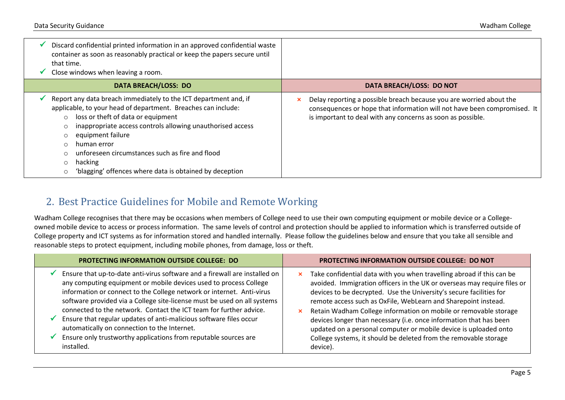| Discard confidential printed information in an approved confidential waste<br>container as soon as reasonably practical or keep the papers secure until<br>that time.<br>Close windows when leaving a room.                                                                                                                                                                                                           |                                                                                                                                                                                                                |
|-----------------------------------------------------------------------------------------------------------------------------------------------------------------------------------------------------------------------------------------------------------------------------------------------------------------------------------------------------------------------------------------------------------------------|----------------------------------------------------------------------------------------------------------------------------------------------------------------------------------------------------------------|
| <b>DATA BREACH/LOSS: DO</b>                                                                                                                                                                                                                                                                                                                                                                                           | DATA BREACH/LOSS: DO NOT                                                                                                                                                                                       |
| Report any data breach immediately to the ICT department and, if<br>applicable, to your head of department. Breaches can include:<br>$\circ$ loss or theft of data or equipment<br>inappropriate access controls allowing unauthorised access<br>equipment failure<br>human error<br>unforeseen circumstances such as fire and flood<br>hacking<br>$\circ$<br>'blagging' offences where data is obtained by deception | Delay reporting a possible breach because you are worried about the<br>consequences or hope that information will not have been compromised. It<br>is important to deal with any concerns as soon as possible. |

#### <span id="page-4-0"></span>2. Best Practice Guidelines for Mobile and Remote Working

Wadham College recognises that there may be occasions when members of College need to use their own computing equipment or mobile device or a Collegeowned mobile device to access or process information. The same levels of control and protection should be applied to information which is transferred outside of College property and ICT systems as for information stored and handled internally. Please follow the guidelines below and ensure that you take all sensible and reasonable steps to protect equipment, including mobile phones, from damage, loss or theft.

| <b>PROTECTING INFORMATION OUTSIDE COLLEGE: DO</b>                                                                                                                                                                                                                                                                                                                                                                                                                                                                                                                                 | <b>PROTECTING INFORMATION OUTSIDE COLLEGE: DO NOT</b>                                                                                                                                                                                                                                                                                                                                                                                                                                                                                                                                              |
|-----------------------------------------------------------------------------------------------------------------------------------------------------------------------------------------------------------------------------------------------------------------------------------------------------------------------------------------------------------------------------------------------------------------------------------------------------------------------------------------------------------------------------------------------------------------------------------|----------------------------------------------------------------------------------------------------------------------------------------------------------------------------------------------------------------------------------------------------------------------------------------------------------------------------------------------------------------------------------------------------------------------------------------------------------------------------------------------------------------------------------------------------------------------------------------------------|
| Ensure that up-to-date anti-virus software and a firewall are installed on<br>any computing equipment or mobile devices used to process College<br>information or connect to the College network or internet. Anti-virus<br>software provided via a College site-license must be used on all systems<br>connected to the network. Contact the ICT team for further advice.<br>Ensure that regular updates of anti-malicious software files occur<br>automatically on connection to the Internet.<br>Ensure only trustworthy applications from reputable sources are<br>installed. | Take confidential data with you when travelling abroad if this can be<br>×<br>avoided. Immigration officers in the UK or overseas may require files or<br>devices to be decrypted. Use the University's secure facilities for<br>remote access such as OxFile, WebLearn and Sharepoint instead.<br>Retain Wadham College information on mobile or removable storage<br>×<br>devices longer than necessary (i.e. once information that has been<br>updated on a personal computer or mobile device is uploaded onto<br>College systems, it should be deleted from the removable storage<br>device). |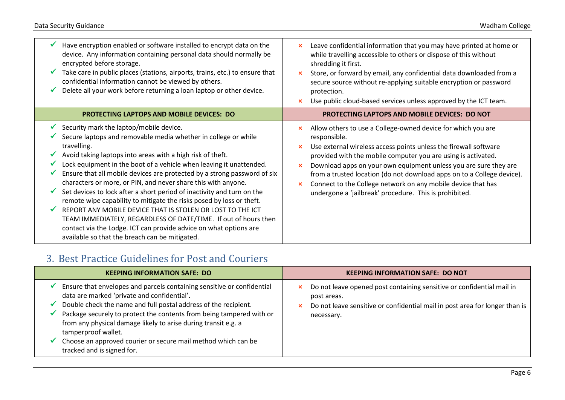| Have encryption enabled or software installed to encrypt data on the<br>device. Any information containing personal data should normally be<br>encrypted before storage.<br>Take care in public places (stations, airports, trains, etc.) to ensure that<br>confidential information cannot be viewed by others.<br>Delete all your work before returning a loan laptop or other device.                                                                                                                                                                                                                                                                                                                                                                                                                                  | Leave confidential information that you may have printed at home or<br>×<br>while travelling accessible to others or dispose of this without<br>shredding it first.<br>Store, or forward by email, any confidential data downloaded from a<br>×<br>secure source without re-applying suitable encryption or password<br>protection.                                                                                                                                                                                         |
|---------------------------------------------------------------------------------------------------------------------------------------------------------------------------------------------------------------------------------------------------------------------------------------------------------------------------------------------------------------------------------------------------------------------------------------------------------------------------------------------------------------------------------------------------------------------------------------------------------------------------------------------------------------------------------------------------------------------------------------------------------------------------------------------------------------------------|-----------------------------------------------------------------------------------------------------------------------------------------------------------------------------------------------------------------------------------------------------------------------------------------------------------------------------------------------------------------------------------------------------------------------------------------------------------------------------------------------------------------------------|
|                                                                                                                                                                                                                                                                                                                                                                                                                                                                                                                                                                                                                                                                                                                                                                                                                           | Use public cloud-based services unless approved by the ICT team.                                                                                                                                                                                                                                                                                                                                                                                                                                                            |
| <b>PROTECTING LAPTOPS AND MOBILE DEVICES: DO</b>                                                                                                                                                                                                                                                                                                                                                                                                                                                                                                                                                                                                                                                                                                                                                                          | <b>PROTECTING LAPTOPS AND MOBILE DEVICES: DO NOT</b>                                                                                                                                                                                                                                                                                                                                                                                                                                                                        |
| Security mark the laptop/mobile device.<br>Secure laptops and removable media whether in college or while<br>travelling.<br>Avoid taking laptops into areas with a high risk of theft.<br>Lock equipment in the boot of a vehicle when leaving it unattended.<br>Ensure that all mobile devices are protected by a strong password of six<br>characters or more, or PIN, and never share this with anyone.<br>Set devices to lock after a short period of inactivity and turn on the<br>V<br>remote wipe capability to mitigate the risks posed by loss or theft.<br>REPORT ANY MOBILE DEVICE THAT IS STOLEN OR LOST TO THE ICT<br>TEAM IMMEDIATELY, REGARDLESS OF DATE/TIME. If out of hours then<br>contact via the Lodge. ICT can provide advice on what options are<br>available so that the breach can be mitigated. | Allow others to use a College-owned device for which you are<br>responsible.<br>Use external wireless access points unless the firewall software<br>provided with the mobile computer you are using is activated.<br>Download apps on your own equipment unless you are sure they are<br>$\boldsymbol{\mathsf{x}}$<br>from a trusted location (do not download apps on to a College device).<br>Connect to the College network on any mobile device that has<br>×<br>undergone a 'jailbreak' procedure. This is prohibited. |

## <span id="page-5-0"></span>3. Best Practice Guidelines for Post and Couriers

| <b>KEEPING INFORMATION SAFE: DO</b>                                                                                                                                                                                                                                                                                                                                                                                                                      | <b>KEEPING INFORMATION SAFE: DO NOT</b>                                                                                                                                                |
|----------------------------------------------------------------------------------------------------------------------------------------------------------------------------------------------------------------------------------------------------------------------------------------------------------------------------------------------------------------------------------------------------------------------------------------------------------|----------------------------------------------------------------------------------------------------------------------------------------------------------------------------------------|
| Ensure that envelopes and parcels containing sensitive or confidential<br>data are marked 'private and confidential'.<br>Double check the name and full postal address of the recipient.<br>Package securely to protect the contents from being tampered with or<br>from any physical damage likely to arise during transit e.g. a<br>tamperproof wallet.<br>Choose an approved courier or secure mail method which can be<br>tracked and is signed for. | Do not leave opened post containing sensitive or confidential mail in<br>×<br>post areas.<br>Do not leave sensitive or confidential mail in post area for longer than is<br>necessary. |